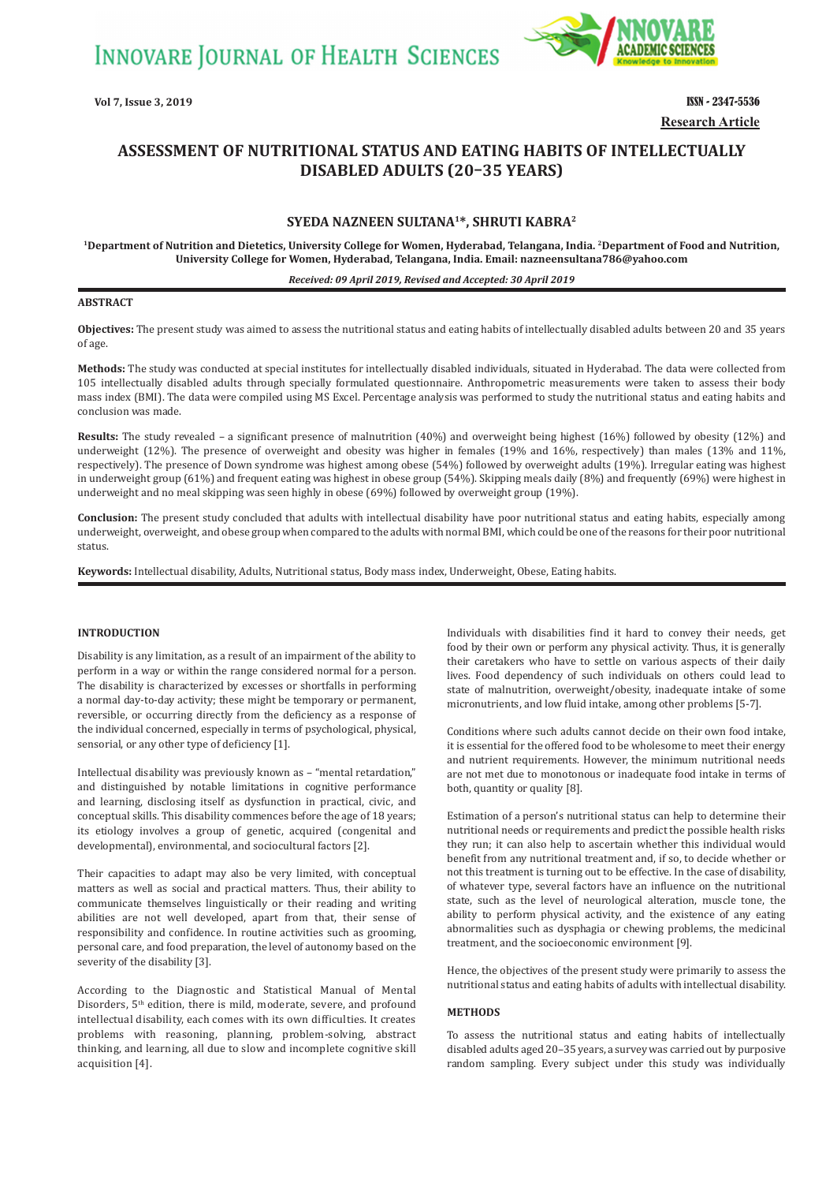**INNOVARE JOURNAL OF HEALTH SCIENCES** 



**Vol 7, Issue 3, 2019** ISSN - 2347-5536 **Research Article**

# **ASSESSMENT OF NUTRITIONAL STATUS AND EATING HABITS OF INTELLECTUALLY DISABLED ADULTS (20–35 YEARS)**

# **SYEDA NAZNEEN SULTANA1\*, SHRUTI KABRA<sup>2</sup>**

**1Department of Nutrition and Dietetics, University College for Women, Hyderabad, Telangana, India. <sup>2</sup>Department of Food and Nutrition, University College for Women, Hyderabad, Telangana, India. Email: nazneensultana786@yahoo.com**

#### *Received: 09 April 2019, Revised and Accepted: 30 April 2019*

# **ABSTRACT**

**Objectives:** The present study was aimed to assess the nutritional status and eating habits of intellectually disabled adults between 20 and 35 years of age.

**Methods:** The study was conducted at special institutes for intellectually disabled individuals, situated in Hyderabad. The data were collected from 105 intellectually disabled adults through specially formulated questionnaire. Anthropometric measurements were taken to assess their body mass index (BMI). The data were compiled using MS Excel. Percentage analysis was performed to study the nutritional status and eating habits and conclusion was made.

**Results:** The study revealed – a significant presence of malnutrition (40%) and overweight being highest (16%) followed by obesity (12%) and underweight (12%). The presence of overweight and obesity was higher in females (19% and 16%, respectively) than males (13% and 11%, respectively). The presence of Down syndrome was highest among obese (54%) followed by overweight adults (19%). Irregular eating was highest in underweight group (61%) and frequent eating was highest in obese group (54%). Skipping meals daily (8%) and frequently (69%) were highest in underweight and no meal skipping was seen highly in obese (69%) followed by overweight group (19%).

**Conclusion:** The present study concluded that adults with intellectual disability have poor nutritional status and eating habits, especially among underweight, overweight, and obese group when compared to the adults with normal BMI, which could be one of the reasons for their poor nutritional status.

**Keywords:** Intellectual disability, Adults, Nutritional status, Body mass index, Underweight, Obese, Eating habits.

# **INTRODUCTION**

Disability is any limitation, as a result of an impairment of the ability to perform in a way or within the range considered normal for a person. The disability is characterized by excesses or shortfalls in performing a normal day-to-day activity; these might be temporary or permanent, reversible, or occurring directly from the deficiency as a response of the individual concerned, especially in terms of psychological, physical, sensorial, or any other type of deficiency [1].

Intellectual disability was previously known as – "mental retardation," and distinguished by notable limitations in cognitive performance and learning, disclosing itself as dysfunction in practical, civic, and conceptual skills. This disability commences before the age of 18 years; its etiology involves a group of genetic, acquired (congenital and developmental), environmental, and sociocultural factors [2].

Their capacities to adapt may also be very limited, with conceptual matters as well as social and practical matters. Thus, their ability to communicate themselves linguistically or their reading and writing abilities are not well developed, apart from that, their sense of responsibility and confidence. In routine activities such as grooming, personal care, and food preparation, the level of autonomy based on the severity of the disability [3].

According to the Diagnostic and Statistical Manual of Mental Disorders, 5<sup>th</sup> edition, there is mild, moderate, severe, and profound intellectual disability, each comes with its own difficulties. It creates problems with reasoning, planning, problem-solving, abstract thinking, and learning, all due to slow and incomplete cognitive skill acquisition [4].

Individuals with disabilities find it hard to convey their needs, get food by their own or perform any physical activity. Thus, it is generally their caretakers who have to settle on various aspects of their daily lives. Food dependency of such individuals on others could lead to state of malnutrition, overweight/obesity, inadequate intake of some micronutrients, and low fluid intake, among other problems [5-7].

Conditions where such adults cannot decide on their own food intake, it is essential for the offered food to be wholesome to meet their energy and nutrient requirements. However, the minimum nutritional needs are not met due to monotonous or inadequate food intake in terms of both, quantity or quality [8].

Estimation of a person's nutritional status can help to determine their nutritional needs or requirements and predict the possible health risks they run; it can also help to ascertain whether this individual would benefit from any nutritional treatment and, if so, to decide whether or not this treatment is turning out to be effective. In the case of disability, of whatever type, several factors have an influence on the nutritional state, such as the level of neurological alteration, muscle tone, the ability to perform physical activity, and the existence of any eating abnormalities such as dysphagia or chewing problems, the medicinal treatment, and the socioeconomic environment [9].

Hence, the objectives of the present study were primarily to assess the nutritional status and eating habits of adults with intellectual disability.

### **METHODS**

To assess the nutritional status and eating habits of intellectually disabled adults aged 20–35 years, a survey was carried out by purposive random sampling. Every subject under this study was individually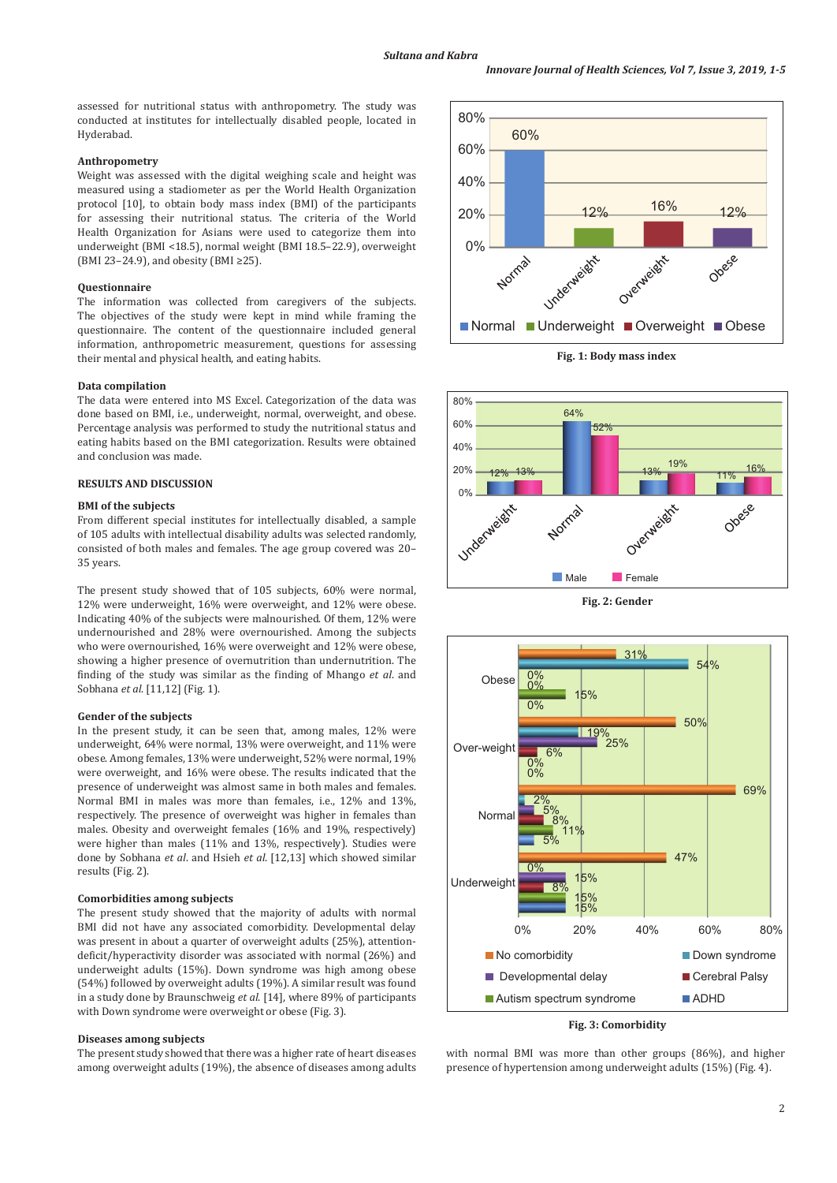assessed for nutritional status with anthropometry. The study was conducted at institutes for intellectually disabled people, located in Hyderabad.

### **Anthropometry**

Weight was assessed with the digital weighing scale and height was measured using a stadiometer as per the World Health Organization protocol [10], to obtain body mass index (BMI) of the participants for assessing their nutritional status. The criteria of the World Health Organization for Asians were used to categorize them into underweight (BMI <18.5), normal weight (BMI 18.5–22.9), overweight (BMI 23–24.9), and obesity (BMI  $\geq$ 25).

### **Questionnaire**

The information was collected from caregivers of the subjects. The objectives of the study were kept in mind while framing the questionnaire. The content of the questionnaire included general information, anthropometric measurement, questions for assessing their mental and physical health, and eating habits.

#### **Data compilation**

The data were entered into MS Excel. Categorization of the data was done based on BMI, i.e., underweight, normal, overweight, and obese. Percentage analysis was performed to study the nutritional status and eating habits based on the BMI categorization. Results were obtained and conclusion was made.

# **RESULTS AND DISCUSSION**

### **BMI of the subjects**

From different special institutes for intellectually disabled, a sample of 105 adults with intellectual disability adults was selected randomly, consisted of both males and females. The age group covered was 20– 35 years.

The present study showed that of 105 subjects, 60% were normal, 12% were underweight, 16% were overweight, and 12% were obese. Indicating 40% of the subjects were malnourished. Of them, 12% were undernourished and 28% were overnourished. Among the subjects who were overnourished, 16% were overweight and 12% were obese, showing a higher presence of overnutrition than undernutrition. The finding of the study was similar as the finding of Mhango *et al*. and Sobhana *et al*. [11,12] (Fig. 1).

#### **Gender of the subjects**

In the present study, it can be seen that, among males, 12% were underweight, 64% were normal, 13% were overweight, and 11% were obese. Among females, 13% were underweight, 52% were normal, 19% were overweight, and 16% were obese. The results indicated that the presence of underweight was almost same in both males and females. Normal BMI in males was more than females, i.e., 12% and 13%, respectively. The presence of overweight was higher in females than males. Obesity and overweight females (16% and 19%, respectively) were higher than males (11% and 13%, respectively). Studies were done by Sobhana *et al*. and Hsieh *et al*. [12,13] which showed similar results (Fig. 2).

# **Comorbidities among subjects**

The present study showed that the majority of adults with normal BMI did not have any associated comorbidity. Developmental delay was present in about a quarter of overweight adults (25%), attentiondeficit/hyperactivity disorder was associated with normal (26%) and underweight adults (15%). Down syndrome was high among obese (54%) followed by overweight adults (19%). A similar result was found in a study done by Braunschweig *et al*. [14], where 89% of participants with Down syndrome were overweight or obese (Fig. 3).

#### **Diseases among subjects**

The present study showed that there was a higher rate of heart diseases among overweight adults (19%), the absence of diseases among adults



**Fig. 1: Body mass index**







**Fig. 3: Comorbidity**

with normal BMI was more than other groups (86%), and higher presence of hypertension among underweight adults (15%) (Fig. 4).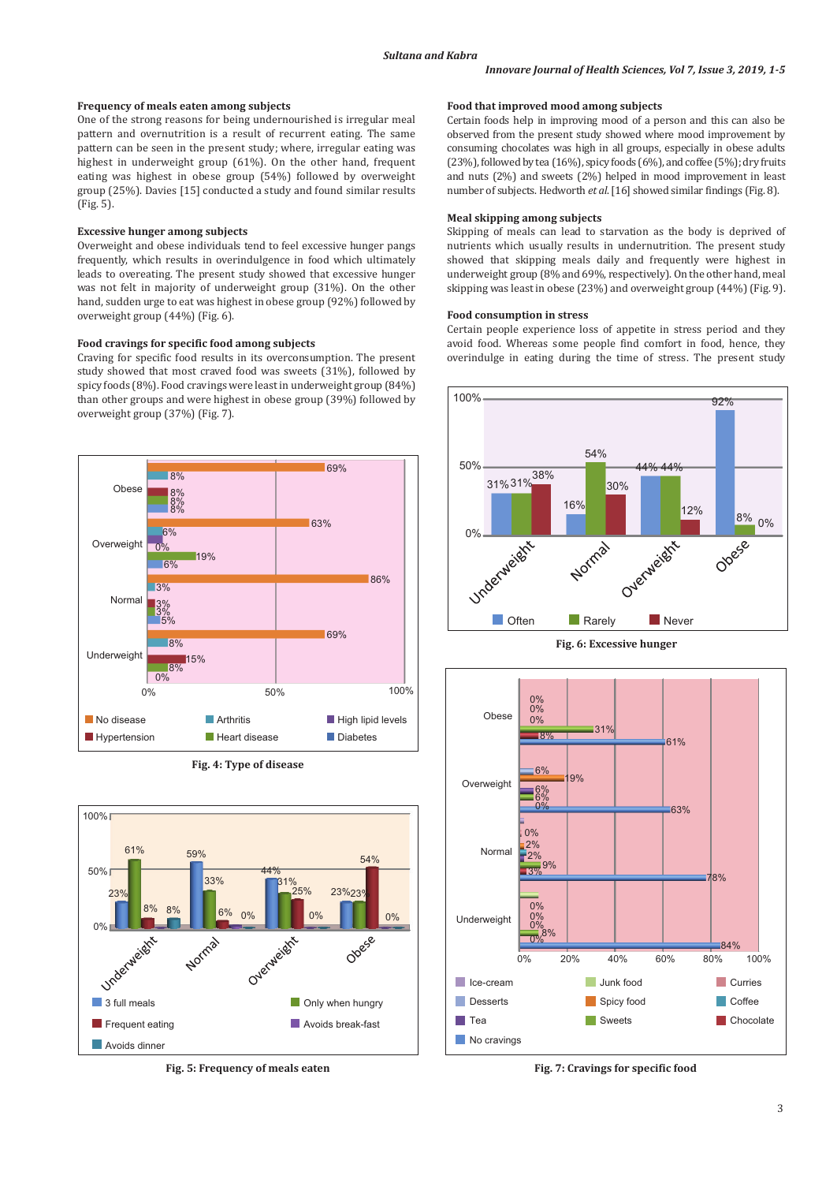### **Frequency of meals eaten among subjects**

One of the strong reasons for being undernourished is irregular meal pattern and overnutrition is a result of recurrent eating. The same pattern can be seen in the present study; where, irregular eating was highest in underweight group (61%). On the other hand, frequent eating was highest in obese group (54%) followed by overweight group (25%). Davies [15] conducted a study and found similar results (Fig. 5).

### **Excessive hunger among subjects**

Overweight and obese individuals tend to feel excessive hunger pangs frequently, which results in overindulgence in food which ultimately leads to overeating. The present study showed that excessive hunger was not felt in majority of underweight group (31%). On the other hand, sudden urge to eat was highest in obese group (92%) followed by overweight group (44%) (Fig. 6).

# **Food cravings for specific food among subjects**

Craving for specific food results in its overconsumption. The present study showed that most craved food was sweets (31%), followed by spicy foods (8%). Food cravings were least in underweight group (84%) than other groups and were highest in obese group (39%) followed by overweight group (37%) (Fig. 7).







**Fig. 5: Frequency of meals eaten**

### **Food that improved mood among subjects**

Certain foods help in improving mood of a person and this can also be observed from the present study showed where mood improvement by consuming chocolates was high in all groups, especially in obese adults (23%), followed by tea (16%), spicy foods (6%), and coffee (5%); dry fruits and nuts (2%) and sweets (2%) helped in mood improvement in least number of subjects. Hedworth *et al*. [16] showed similar findings (Fig. 8).

# **Meal skipping among subjects**

Skipping of meals can lead to starvation as the body is deprived of nutrients which usually results in undernutrition. The present study showed that skipping meals daily and frequently were highest in underweight group (8% and 69%, respectively). On the other hand, meal skipping was least in obese (23%) and overweight group (44%) (Fig. 9).

#### **Food consumption in stress**

Certain people experience loss of appetite in stress period and they avoid food. Whereas some people find comfort in food, hence, they overindulge in eating during the time of stress. The present study







**Fig. 7: Cravings for specific food**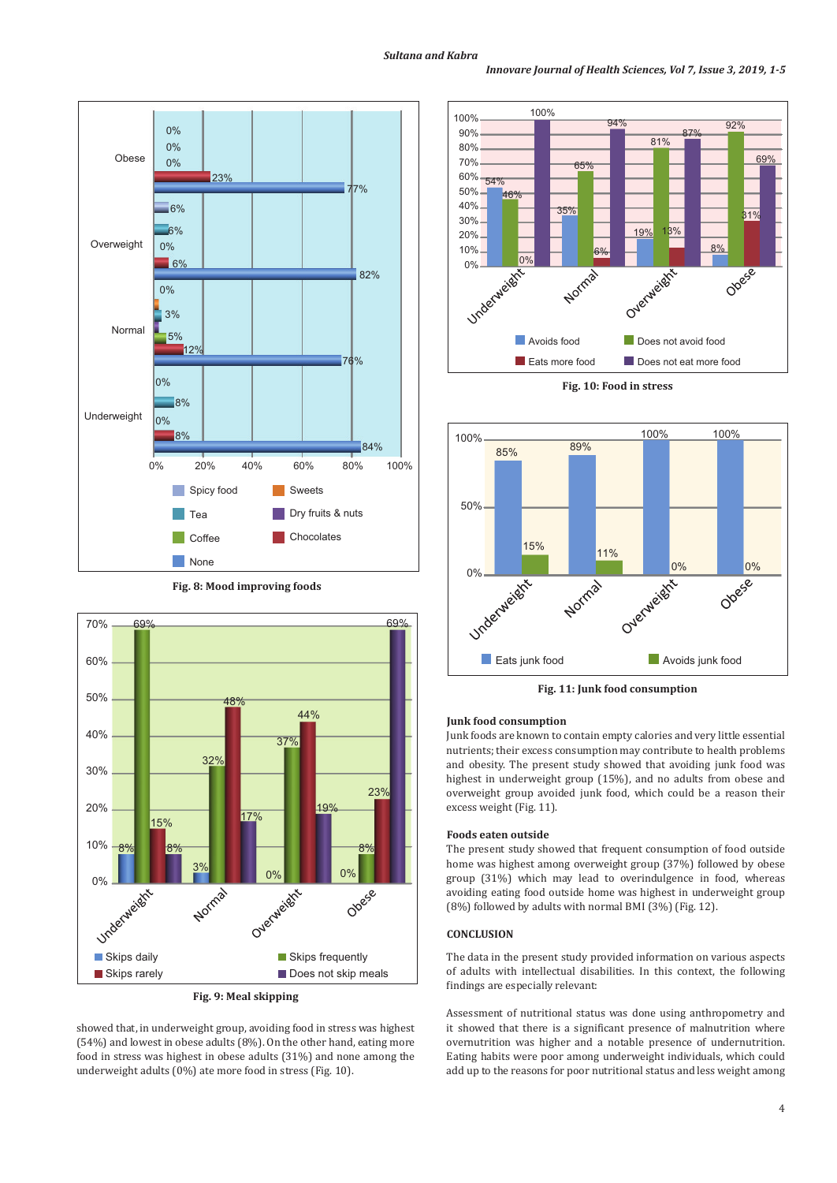



**Fig. 9: Meal skipping**

showed that, in underweight group, avoiding food in stress was highest (54%) and lowest in obese adults (8%). On the other hand, eating more food in stress was highest in obese adults (31%) and none among the underweight adults (0%) ate more food in stress (Fig. 10).



**Fig. 10: Food in stress**



**Fig. 11: Junk food consumption**

### **Junk food consumption**

Junk foods are known to contain empty calories and very little essential nutrients; their excess consumption may contribute to health problems and obesity. The present study showed that avoiding junk food was highest in underweight group (15%), and no adults from obese and overweight group avoided junk food, which could be a reason their excess weight (Fig. 11).

### **Foods eaten outside**

The present study showed that frequent consumption of food outside home was highest among overweight group (37%) followed by obese group (31%) which may lead to overindulgence in food, whereas avoiding eating food outside home was highest in underweight group (8%) followed by adults with normal BMI (3%) (Fig. 12).

# **CONCLUSION**

The data in the present study provided information on various aspects of adults with intellectual disabilities. In this context, the following findings are especially relevant:

Assessment of nutritional status was done using anthropometry and it showed that there is a significant presence of malnutrition where overnutrition was higher and a notable presence of undernutrition. Eating habits were poor among underweight individuals, which could add up to the reasons for poor nutritional status and less weight among